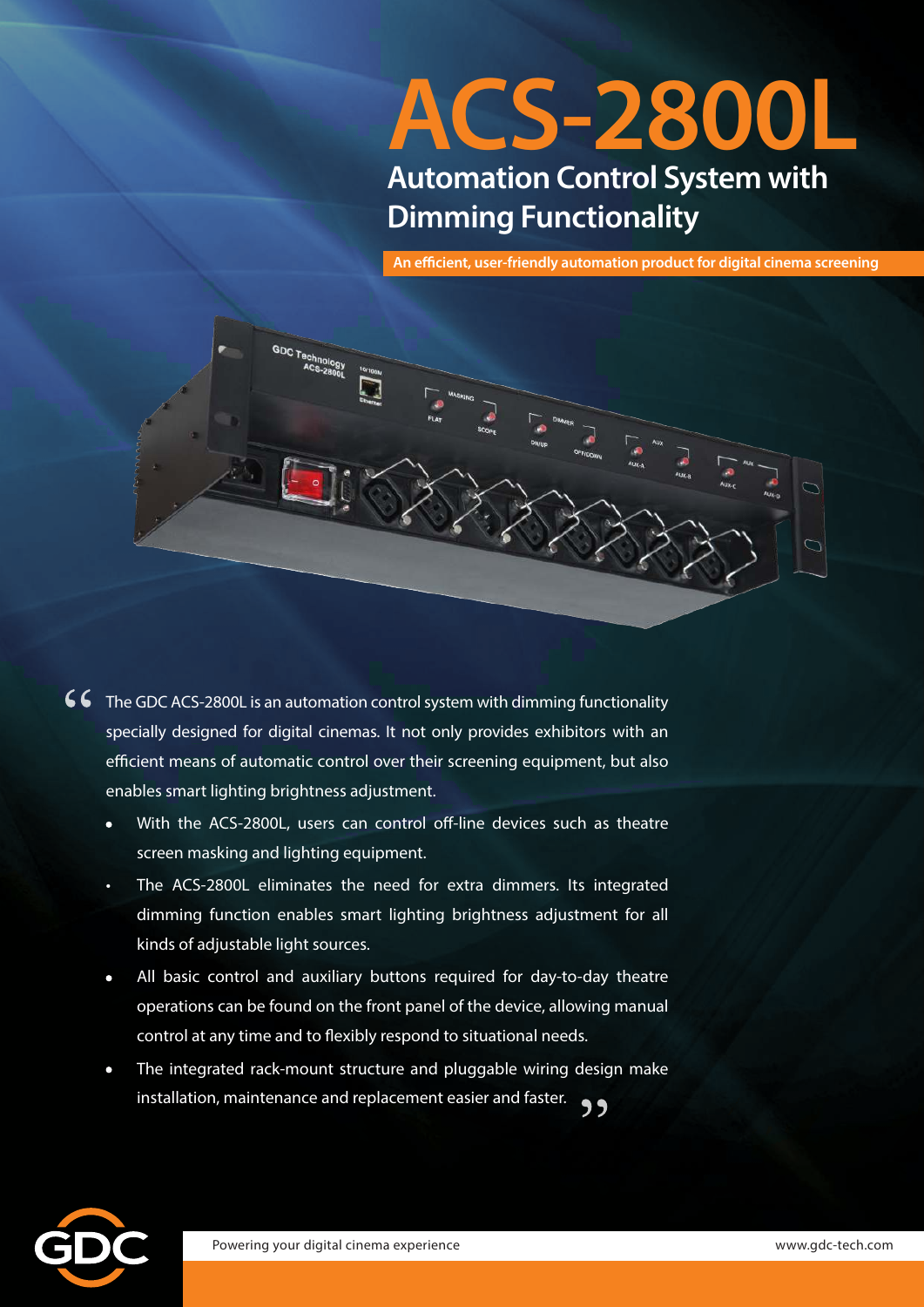# **ACS-2800L Automation Control System with Dimming Functionality**

**An efficient, user-friendly automation product for digital cinema screening**



- 66 The GDC ACS-2800L is an automation control system with dimming functionality specially designed for digital cinemas. It not only provides exhibitors with an efficient means of automatic control over their screening equipment, but also enables smart lighting brightness adjustment.
	- **•** With the ACS-2800L, users can control off-line devices such as theatre screen masking and lighting equipment.
	- The ACS-2800L eliminates the need for extra dimmers. Its integrated dimming function enables smart lighting brightness adjustment for all kinds of adjustable light sources.
	- **•** All basic control and auxiliary buttons required for day-to-day theatre operations can be found on the front panel of the device, allowing manual control at any time and to flexibly respond to situational needs.
	- **•** The integrated rack-mount structure and pluggable wiring design make installation, maintenance and replacement easier and faster.